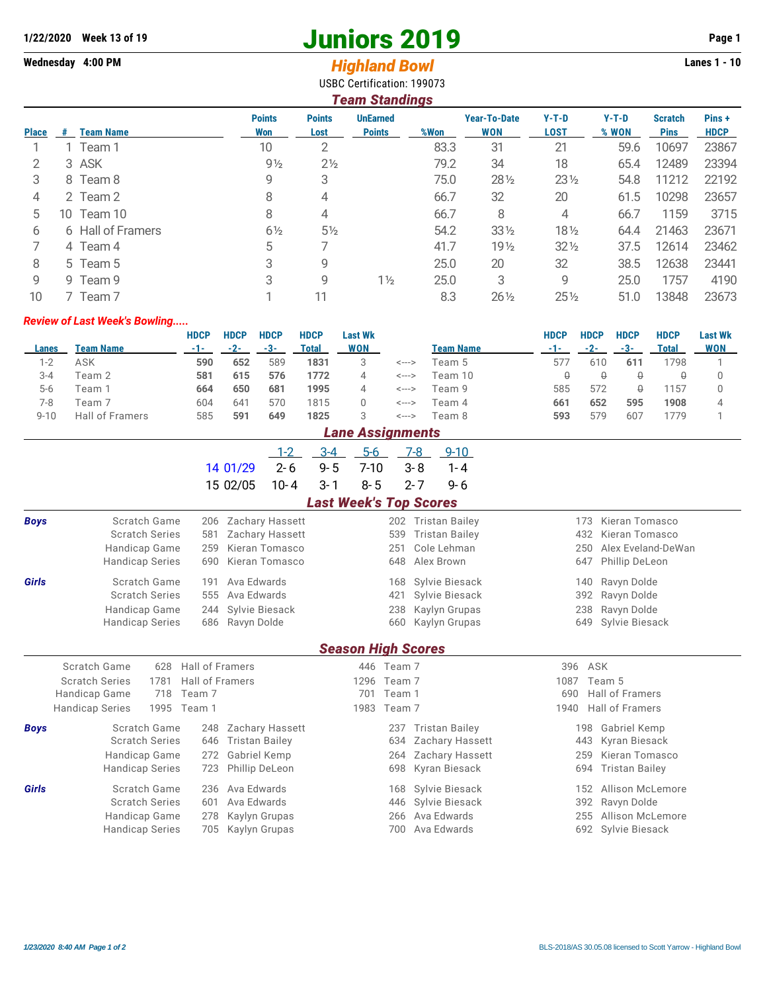## **1/22/2020 Week 13 of 19 Juniors 2019 Page 1**

**Wednesday 4:00 PM** *Highland Bowl* **Lanes 1 - 10**

|                | USBC Certification: 199073<br><b>Team Standings</b> |                   |                      |                       |                                  |      |                            |                        |                  |                               |                       |  |  |  |
|----------------|-----------------------------------------------------|-------------------|----------------------|-----------------------|----------------------------------|------|----------------------------|------------------------|------------------|-------------------------------|-----------------------|--|--|--|
| <b>Place</b>   | #                                                   | <b>Team Name</b>  | <b>Points</b><br>Won | <b>Points</b><br>Lost | <b>UnEarned</b><br><b>Points</b> | %Won | <b>Year-To-Date</b><br>WON | $Y-T-D$<br><b>LOST</b> | $Y-T-D$<br>% WON | <b>Scratch</b><br><b>Pins</b> | Pins +<br><b>HDCP</b> |  |  |  |
|                |                                                     | Team 1            | 10                   | 2                     |                                  | 83.3 | 31                         | 21                     | 59.6             | 10697                         | 23867                 |  |  |  |
| 2              |                                                     | 3 ASK             | $9\frac{1}{2}$       | $2\frac{1}{2}$        |                                  | 79.2 | 34                         | 18                     | 65.4             | 12489                         | 23394                 |  |  |  |
| 3              |                                                     | 8 Team 8          | 9                    | 3                     |                                  | 75.0 | $28\frac{1}{2}$            | $23\frac{1}{2}$        | 54.8             | 11212                         | 22192                 |  |  |  |
| $\overline{4}$ |                                                     | 2 Team 2          | 8                    | 4                     |                                  | 66.7 | 32                         | 20                     | 61.5             | 10298                         | 23657                 |  |  |  |
| 5              | 10.                                                 | Team 10           | 8                    | 4                     |                                  | 66.7 | 8                          | 4                      | 66.7             | 1159                          | 3715                  |  |  |  |
| 6              |                                                     | 6 Hall of Framers | $6\frac{1}{2}$       | $5\frac{1}{2}$        |                                  | 54.2 | $33\frac{1}{2}$            | $18\frac{1}{2}$        | 64.4             | 21463                         | 23671                 |  |  |  |
|                |                                                     | 4 Team 4          | 5                    | 7                     |                                  | 41.7 | 19 <sub>2</sub>            | $32\frac{1}{2}$        | 37.5             | 12614                         | 23462                 |  |  |  |
| 8              |                                                     | 5 Team 5          | 3                    | 9                     |                                  | 25.0 | 20                         | 32                     | 38.5             | 12638                         | 23441                 |  |  |  |
| 9              |                                                     | 9 Team 9          | 3                    | 9                     | $1\frac{1}{2}$                   | 25.0 | 3                          | 9                      | 25.0             | 1757                          | 4190                  |  |  |  |

## *Review of Last Week's Bowling.....*

|          |                        | <b>HDCP</b> | <b>HDCP</b>  | <b>HDCP</b> | <b>HDCP</b> | Last Wk  |       |                  | HDCP | <b>HDCP</b> | <b>HDCP</b> | HDCP  | <b>Last Wk</b> |
|----------|------------------------|-------------|--------------|-------------|-------------|----------|-------|------------------|------|-------------|-------------|-------|----------------|
| Lanes    | Team Name              | $-1-$       | $-2-$        | $-3-$       | Total       | WON      |       | <b>Team Name</b> | -1-  | -2-         | -3-         | Total | <b>WON</b>     |
| 1-2      | ASK                    | 590         | 652          | 589         | 1831        |          | <---> | Team 5           | 57.  | 610         | 611         | 798   |                |
| $3 - 4$  | Team 2                 | 581         | 615          | 576         | 1772        | $\Delta$ | <---> | Team 10          |      |             | ₿           |       |                |
| $5-6$    | Team ´                 | 664         | 650          | 681         | 1995        | 4        | <---> | Team 9           | 585  | 572         |             | 157   |                |
| 7-8      | Team 7                 | 604         | $64^{\circ}$ | 570         | 1815        |          | <---> | Team 4           | 661  | 652         | 595         | 1908  |                |
| $9 - 10$ | <b>Hall of Framers</b> | 585         | 59'          | 649         | 1825        | З        | <---> | Team 8           | 593  | 579         | 607         | 779   |                |

10 7 Team 7 1 1 1 1 1 1 1 1 1 1 1 1 8.3 26 $\frac{1}{2}$  25 $\frac{1}{2}$  51.0 13848 23673

|             | <b>Lane Assignments</b>        |                 |                       |                        |                           |            |        |         |                        |      |     |                       |  |
|-------------|--------------------------------|-----------------|-----------------------|------------------------|---------------------------|------------|--------|---------|------------------------|------|-----|-----------------------|--|
|             |                                |                 |                       | $1 - 2$                | $3 - 4$                   | $5 - 6$    |        | 7-8     | $9 - 10$               |      |     |                       |  |
|             |                                |                 | 14 01/29              | $2 - 6$                | $9 - 5$                   | $7 - 10$   |        | $3 - 8$ | $1 - 4$                |      |     |                       |  |
|             |                                |                 | 15 02/05              | $10 - 4$               | $3 - 1$                   | $8 - 5$    |        | $2 - 7$ | $9 - 6$                |      |     |                       |  |
|             | <b>Last Week's Top Scores</b>  |                 |                       |                        |                           |            |        |         |                        |      |     |                       |  |
| <b>Boys</b> | Scratch Game                   | 206             |                       | <b>Zachary Hassett</b> |                           |            | 202    |         | <b>Tristan Bailey</b>  |      | 173 | Kieran Tomasco        |  |
|             | <b>Scratch Series</b>          | 581             |                       | Zachary Hassett        |                           |            | 539    |         | <b>Tristan Bailey</b>  |      | 432 | Kieran Tomasco        |  |
|             | Handicap Game                  | 259             |                       | Kieran Tomasco         |                           |            | 251    |         | Cole Lehman            |      | 250 | Alex Eveland-DeWan    |  |
|             | <b>Handicap Series</b>         | 690             |                       | Kieran Tomasco         |                           |            | 648    |         | Alex Brown             |      | 647 | Phillip DeLeon        |  |
| Girls       | Scratch Game                   | 191             | Ava Edwards           |                        |                           |            | 168    |         | Sylvie Biesack         |      | 140 | Ravyn Dolde           |  |
|             | <b>Scratch Series</b>          | 555             | Ava Edwards           |                        |                           |            | 421    |         | Sylvie Biesack         |      | 392 | Ravyn Dolde           |  |
|             | Handicap Game                  | 244             | Sylvie Biesack        |                        |                           |            | 238    |         | Kaylyn Grupas          |      | 238 | Ravyn Dolde           |  |
|             | <b>Handicap Series</b>         | 686             | Ravyn Dolde           |                        |                           |            | 660    |         | Kaylyn Grupas          |      | 649 | Sylvie Biesack        |  |
|             |                                |                 |                       |                        | <b>Season High Scores</b> |            |        |         |                        |      |     |                       |  |
|             | Scratch Game<br>628            | Hall of Framers |                       |                        |                           | 446 Team 7 |        |         |                        | 396  | ASK |                       |  |
|             | <b>Scratch Series</b><br>1781  | Hall of Framers |                       |                        |                           | 1296       | Team 7 |         |                        | 1087 |     | Team 5                |  |
|             | Handicap Game<br>718           | Team 7          |                       |                        |                           | 701        | Team 1 |         |                        | 690  |     | Hall of Framers       |  |
|             | 1995<br><b>Handicap Series</b> | Team 1          |                       |                        |                           | 1983       | Team 7 |         |                        | 1940 |     | Hall of Framers       |  |
| <b>Boys</b> | Scratch Game                   | 248             |                       | <b>Zachary Hassett</b> |                           |            | 237    |         | <b>Tristan Bailey</b>  |      | 198 | <b>Gabriel Kemp</b>   |  |
|             | <b>Scratch Series</b>          | 646             | <b>Tristan Bailey</b> |                        |                           |            | 634    |         | Zachary Hassett        |      | 443 | Kyran Biesack         |  |
|             | Handicap Game                  | 272             | Gabriel Kemp          |                        |                           |            | 264    |         | <b>Zachary Hassett</b> |      | 259 | Kieran Tomasco        |  |
|             | <b>Handicap Series</b>         | 723             | Phillip DeLeon        |                        |                           |            | 698    |         | Kyran Biesack          |      | 694 | <b>Tristan Bailey</b> |  |
| Girls       | Scratch Game                   | 236             | Ava Edwards           |                        |                           |            | 168    |         | Sylvie Biesack         |      | 152 | Allison McLemore      |  |
|             | <b>Scratch Series</b>          | 601             | Ava Edwards           |                        |                           |            | 446    |         | Sylvie Biesack         |      | 392 | Ravyn Dolde           |  |
|             | Handicap Game                  | 278             | Kaylyn Grupas         |                        |                           |            | 266    |         | Ava Edwards            |      | 255 | Allison McLemore      |  |
|             | <b>Handicap Series</b>         | 705             | Kaylyn Grupas         |                        |                           |            | 700    |         | Ava Edwards            |      | 692 | Sylvie Biesack        |  |
|             |                                |                 |                       |                        |                           |            |        |         |                        |      |     |                       |  |